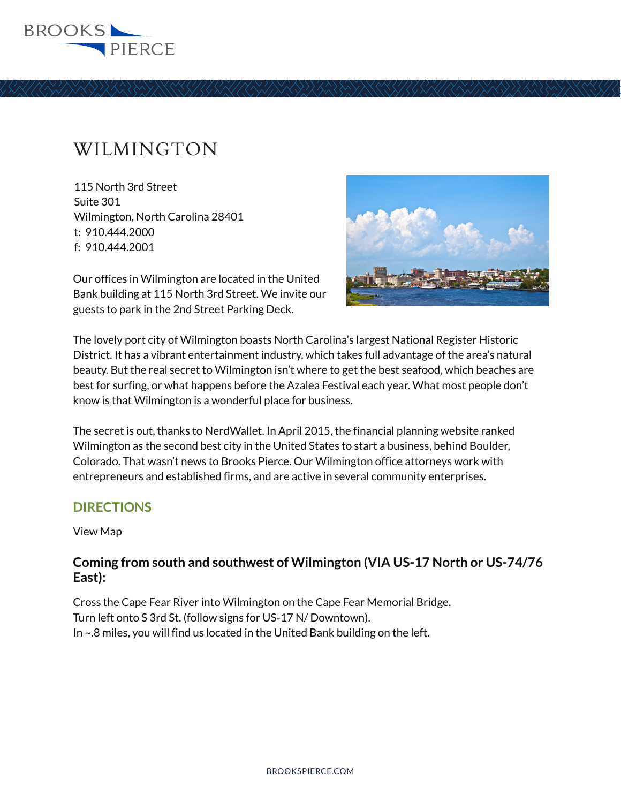

## WILMINGTON

115 North 3rd Street Suite 301 Wilmington, North Carolina 28401 t: 910.444.2000 f: 910.444.2001

Our offices in Wilmington are located in the United Bank building at 115 North 3rd Street. We invite our guests to park in the 2nd Street Parking Deck.



The lovely port city of Wilmington boasts North Carolina's largest National Register Historic District. It has a vibrant entertainment industry, which takes full advantage of the area's natural beauty. But the real secret to Wilmington isn't where to get the best seafood, which beaches are best for surfing, or what happens before the Azalea Festival each year. What most people don't know is that Wilmington is a wonderful place for business.

The secret is out, thanks to NerdWallet. In April 2015, the financial planning website ranked Wilmington as the second best city in the United States to start a business, behind Boulder, Colorado. That wasn't news to Brooks Pierce. Our Wilmington office attorneys work with entrepreneurs and established firms, and are active in several community enterprises.

## **DIRECTIONS**

View Map

## **Coming from south and southwest of Wilmington (VIA US-17 North or US-74/76 East):**

Cross the Cape Fear River into Wilmington on the Cape Fear Memorial Bridge. Turn left onto S 3rd St. (follow signs for US-17 N/ Downtown). In ~.8 miles, you will find us located in the United Bank building on the left.